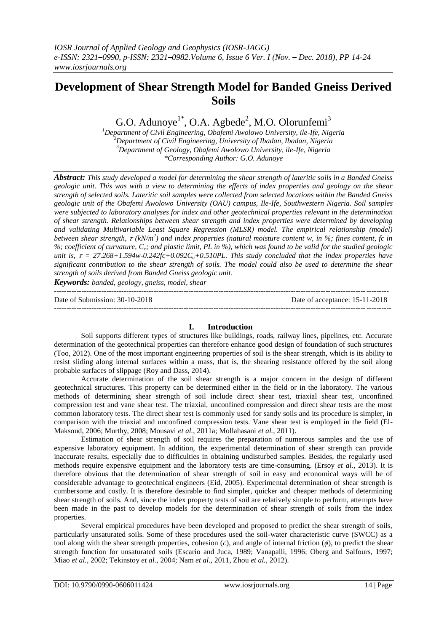# **Development of Shear Strength Model for Banded Gneiss Derived Soils**

G.O. Adunoye<sup>1\*</sup>, O.A. Agbede<sup>2</sup>, M.O. Olorunfemi<sup>3</sup>

*Department of Civil Engineering, Obafemi Awolowo University, ile-Ife, Nigeria Department of Civil Engineering, University of Ibadan, Ibadan, Nigeria Department of Geology, Obafemi Awolowo University, ile-Ife, Nigeria \*Corresponding Author: G.O. Adunoye*

*Abstract: This study developed a model for determining the shear strength of lateritic soils in a Banded Gneiss geologic unit. This was with a view to determining the effects of index properties and geology on the shear strength of selected soils. Lateritic soil samples were collected from selected locations within the Banded Gneiss geologic unit of the Obafemi Awolowo University (OAU) campus, Ile-Ife, Southwestern Nigeria. Soil samples were subjected to laboratory analyses for index and other geotechnical properties relevant in the determination of shear strength. Relationships between shear strength and index properties were determined by developing and validating Multivariable Least Square Regression (MLSR) model. The empirical relationship (model) between shear strength, (kN/m<sup>2</sup> ) and index properties (natural moisture content w, in %; fines content, fc in %; coefficient of curvature, Cc; and plastic limit, PL in %), which was found to be valid for the studied geologic unit is,*  $\tau = 27.268 + 1.594w - 0.242fc + 0.092C<sub>u</sub> + 0.510PL$ . This study concluded that the index properties have *significant contribution to the shear strength of soils. The model could also be used to determine the shear strength of soils derived from Banded Gneiss geologic unit*.

*Keywords: banded, geology, gneiss, model, shear* --------------------------------------------------------------------------------------------------------------------------------------

Date of Submission: 30-10-2018 Date of acceptance: 15-11-2018 --------------------------------------------------------------------------------------------------------------------------------------*-*

# **I. Introduction**

Soil supports different types of structures like buildings, roads, railway lines, pipelines, etc. Accurate determination of the geotechnical properties can therefore enhance good design of foundation of such structures (Too, 2012). One of the most important engineering properties of soil is the shear strength, which is its ability to resist sliding along internal surfaces within a mass, that is, the shearing resistance offered by the soil along probable surfaces of slippage (Roy and Dass, 2014).

Accurate determination of the soil shear strength is a major concern in the design of different geotechnical structures. This property can be determined either in the field or in the laboratory. The various methods of determining shear strength of soil include direct shear test, triaxial shear test, unconfined compression test and vane shear test. The triaxial, unconfined compression and direct shear tests are the most common laboratory tests. The direct shear test is commonly used for sandy soils and its procedure is simpler, in comparison with the triaxial and unconfined compression tests. Vane shear test is employed in the field (El-Maksoud, 2006; Murthy, 2008; Mousavi *et al.*, 2011a; Mollahasani *et al.,* 2011).

Estimation of shear strength of soil requires the preparation of numerous samples and the use of expensive laboratory equipment. In addition, the experimental determination of shear strength can provide inaccurate results, especially due to difficulties in obtaining undisturbed samples. Besides, the regularly used methods require expensive equipment and the laboratory tests are time-consuming. (Ersoy *et al.,* 2013). It is therefore obvious that the determination of shear strength of soil in easy and economical ways will be of considerable advantage to geotechnical engineers (Eid, 2005). Experimental determination of shear strength is cumbersome and costly. It is therefore desirable to find simpler, quicker and cheaper methods of determining shear strength of soils. And, since the index property tests of soil are relatively simple to perform, attempts have been made in the past to develop models for the determination of shear strength of soils from the index properties.

Several empirical procedures have been developed and proposed to predict the shear strength of soils, particularly unsaturated soils. Some of these procedures used the soil-water characteristic curve (SWCC) as a tool along with the shear strength properties, cohesion (*c*), and angle of internal friction (*ϕ*), to predict the shear strength function for unsaturated soils (Escario and Juca, 1989; Vanapalli, 1996; Oberg and Salfours, 1997; Miao *et al.*, 2002; Tekinstoy *et al.*, 2004; Nam *et al.*, 2011, Zhou *et al.*, 2012).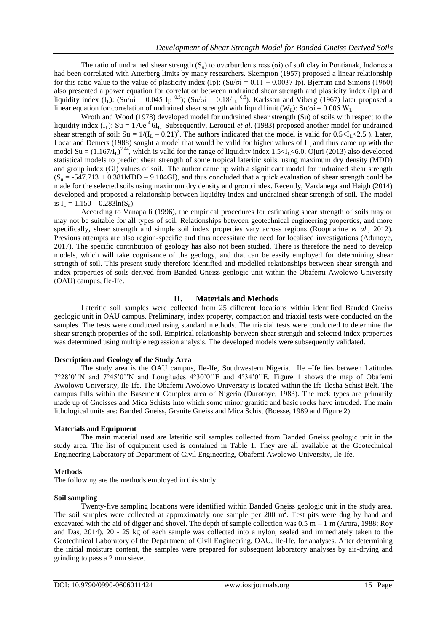The ratio of undrained shear strength  $(S_u)$  to overburden stress (σi) of soft clay in Pontianak, Indonesia had been correlated with Atterberg limits by many researchers. Skempton (1957) proposed a linear relationship for this ratio value to the value of plasticity index (Ip):  $(Su/\sigma i = 0.11 + 0.0037 \text{ Ip})$ . Bjerrum and Simons (1960) also presented a power equation for correlation between undrained shear strength and plasticity index (Ip) and liquidity index (I<sub>L</sub>): (Su/σi = 0.045 Ip <sup>0.5</sup>); (Su/σi = 0.18/I<sub>L</sub> <sup>0.5</sup>). Karlsson and Viberg (1967) later proposed a linear equation for correlation of undrained shear strength with liquid limit (W<sub>L</sub>):  $Su/\sigma$ i = 0.005 W<sub>L</sub>.

Wroth and Wood (1978) developed model for undrained shear strength (Su) of soils with respect to the liquidity index (I<sub>L</sub>): Su = 170e<sup>-4.</sup>6I<sub>L.</sub> Subsequently, Leroueil *et al.* (1983) proposed another model for undrained shear strength of soil:  $Su = 1/(I_L - 0.21)^2$ . The authors indicated that the model is valid for  $0.5 < I_L < 2.5$ ). Later, Locat and Demers (1988) sought a model that would be valid for higher values of  $I_L$  and thus came up with the model Su =  $(1.167/I_L)^{2.44}$ , which is valid for the range of liquidity index  $1.5 < I_L < 6.0$ . Ojuri (2013) also developed statistical models to predict shear strength of some tropical lateritic soils, using maximum dry density (MDD) and group index (GI) values of soil. The author came up with a significant model for undrained shear strength  $(S_n = -547.713 + 0.381 \text{MDD} - 9.104 \text{GI})$ , and thus concluded that a quick evaluation of shear strength could be made for the selected soils using maximum dry density and group index. Recently, Vardanega and Haigh (2014) developed and proposed a relationship between liquidity index and undrained shear strength of soil. The model is  $I_L = 1.150 - 0.283ln(S_u)$ .

According to Vanapalli (1996), the empirical procedures for estimating shear strength of soils may or may not be suitable for all types of soil. Relationships between geotechnical engineering properties, and more specifically, shear strength and simple soil index properties vary across regions (Roopnarine *et al.*, 2012). Previous attempts are also region-specific and thus necessitate the need for localised investigations (Adunoye, 2017). The specific contribution of geology has also not been studied. There is therefore the need to develop models, which will take cognisance of the geology, and that can be easily employed for determining shear strength of soil. This present study therefore identified and modelled relationships between shear strength and index properties of soils derived from Banded Gneiss geologic unit within the Obafemi Awolowo University (OAU) campus, Ile-Ife.

# **II. Materials and Methods**

Lateritic soil samples were collected from 25 different locations within identified Banded Gneiss geologic unit in OAU campus. Preliminary, index property, compaction and triaxial tests were conducted on the samples. The tests were conducted using standard methods. The triaxial tests were conducted to determine the shear strength properties of the soil. Empirical relationship between shear strength and selected index properties was determined using multiple regression analysis. The developed models were subsequently validated.

# **Description and Geology of the Study Area**

The study area is the OAU campus, Ile-Ife, Southwestern Nigeria. Ile –Ife lies between Latitudes 7°28'0''N and 7°45'0''N and Longitudes 4°30'0''E and 4°34'0''E. Figure 1 shows the map of Obafemi Awolowo University, Ile-Ife. The Obafemi Awolowo University is located within the Ife-Ilesha Schist Belt. The campus falls within the Basement Complex area of Nigeria (Durotoye, 1983). The rock types are primarily made up of Gneisses and Mica Schists into which some minor granitic and basic rocks have intruded. The main lithological units are: Banded Gneiss, Granite Gneiss and Mica Schist (Boesse, 1989 and Figure 2).

#### **Materials and Equipment**

The main material used are lateritic soil samples collected from Banded Gneiss geologic unit in the study area. The list of equipment used is contained in Table 1. They are all available at the Geotechnical Engineering Laboratory of Department of Civil Engineering, Obafemi Awolowo University, Ile-Ife.

# **Methods**

The following are the methods employed in this study.

#### **Soil sampling**

Twenty-five sampling locations were identified within Banded Gneiss geologic unit in the study area. The soil samples were collected at approximately one sample per 200 m<sup>2</sup>. Test pits were dug by hand and excavated with the aid of digger and shovel. The depth of sample collection was  $0.5$  m – 1 m (Arora, 1988; Roy and Das, 2014). 20 - 25 kg of each sample was collected into a nylon, sealed and immediately taken to the Geotechnical Laboratory of the Department of Civil Engineering, OAU, Ile-Ife, for analyses. After determining the initial moisture content, the samples were prepared for subsequent laboratory analyses by air-drying and grinding to pass a 2 mm sieve.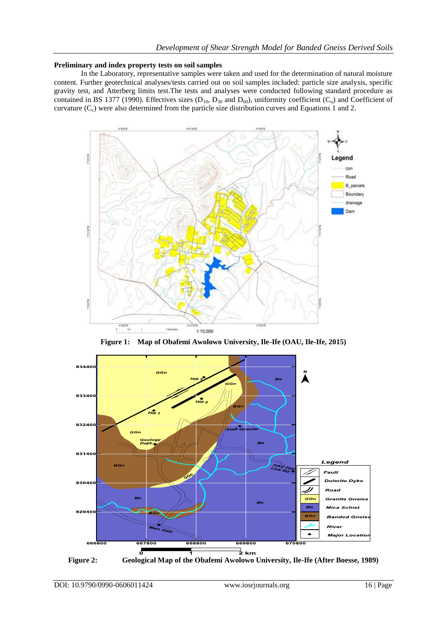# **Preliminary and index property tests on soil samples**

In the Laboratory, representative samples were taken and used for the determination of natural moisture content. Further geotechnical analyses/tests carried out on soil samples included: particle size analysis, specific gravity test, and Atterberg limits test.The tests and analyses were conducted following standard procedure as contained in BS 1377 (1990). Effectives sizes ( $D_{10}$ ,  $D_{30}$  and  $D_{60}$ ), uniformity coefficient ( $C_u$ ) and Coefficient of curvature  $(C_c)$  were also determined from the particle size distribution curves and Equations 1 and 2.



**Figure 1: Map of Obafemi Awolowo University, Ile-Ife (OAU, Ile-Ife, 2015)**



**Figure 2: Geological Map of the Obafemi Awolowo University, Ile-Ife (After Boesse, 1989)**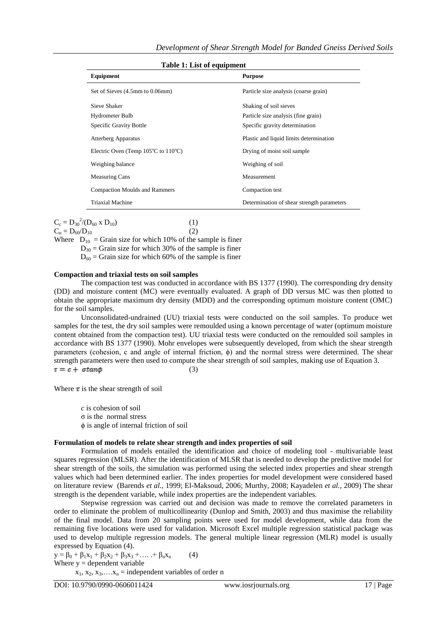| rable 1, List of equipment                              |                                            |  |  |  |
|---------------------------------------------------------|--------------------------------------------|--|--|--|
| Equipment                                               | <b>Purpose</b>                             |  |  |  |
| Set of Sieves (4.5mm to 0.06mm)                         | Particle size analysis (coarse grain)      |  |  |  |
| Sieve Shaker                                            | Shaking of soil sieves                     |  |  |  |
| Hydrometer Bulb                                         | Particle size analysis (fine grain)        |  |  |  |
| <b>Specific Gravity Bottle</b>                          | Specific gravity determination             |  |  |  |
| Atterberg Apparatus                                     | Plastic and liquid limits determination    |  |  |  |
| Electric Oven (Temp $105^{\circ}$ C to $110^{\circ}$ C) | Drying of moist soil sample                |  |  |  |
| Weighing balance                                        | Weighing of soil                           |  |  |  |
| <b>Measuring Cans</b>                                   | Measurement                                |  |  |  |
| <b>Compaction Moulds and Rammers</b>                    | Compaction test                            |  |  |  |
| <b>Triaxial Machine</b>                                 | Determination of shear strength parameters |  |  |  |
|                                                         |                                            |  |  |  |

 **Table 1: List of equipment**

 $C_c = D_{30}^{2}/(D_{60} \times D_{10})$  (1)

 $C_u = D_{60}/D_{10}$  (2)

Where  $D_{10} =$  Grain size for which 10% of the sample is finer  $D_{30}$  = Grain size for which 30% of the sample is finer  $D_{60}$  = Grain size for which 60% of the sample is finer

# **Compaction and triaxial tests on soil samples**

The compaction test was conducted in accordance with BS 1377 (1990). The corresponding dry density (DD) and moisture content (MC) were eventually evaluated. A graph of DD versus MC was then plotted to obtain the appropriate maximum dry density (MDD) and the corresponding optimum moisture content (OMC) for the soil samples.

Unconsolidated-undrained (UU) triaxial tests were conducted on the soil samples. To produce wet samples for the test, the dry soil samples were remoulded using a known percentage of water (optimum moisture content obtained from the compaction test). UU triaxial tests were conducted on the remoulded soil samples in accordance with BS 1377 (1990). Mohr envelopes were subsequently developed, from which the shear strength parameters (cohesion, c and angle of internal friction,  $\phi$ ) and the normal stress were determined. The shear strength parameters were then used to compute the shear strength of soil samples, making use of Equation 3.  $\tau = c + \sigma \tan \phi$ (3)

Where  $\tau$  is the shear strength of soil

*c* is cohesion of soil σ is the normal stress ϕ is angle of internal friction of soil

# **Formulation of models to relate shear strength and index properties of soil**

Formulation of models entailed the identification and choice of modeling tool - multivariable least squares regression (MLSR). After the identification of MLSR that is needed to develop the predictive model for shear strength of the soils, the simulation was performed using the selected index properties and shear strength values which had been determined earlier. The index properties for model development were considered based on literature review (Barends *et al.*, 1999; El-Maksoud, 2006; Murthy, 2008; Kayadelen *et al.*, 2009) The shear strength is the dependent variable, while index properties are the independent variables.

Stepwise regression was carried out and decision was made to remove the correlated parameters in order to eliminate the problem of multicollinearity (Dunlop and Smith, 2003) and thus maximise the reliability of the final model. Data from 20 sampling points were used for model development, while data from the remaining five locations were used for validation. Microsoft Excel multiple regression statistical package was used to develop multiple regression models. The general multiple linear regression (MLR) model is usually expressed by Equation (4).

 $y = \beta_0 + \beta_1 x_1 + \beta_2 x_2 + \beta_3 x_3 + \dots + \beta_n x_n$  (4) Where  $y =$  dependent variable

 $x_1, x_2, x_3, \ldots, x_n$  = independent variables of order n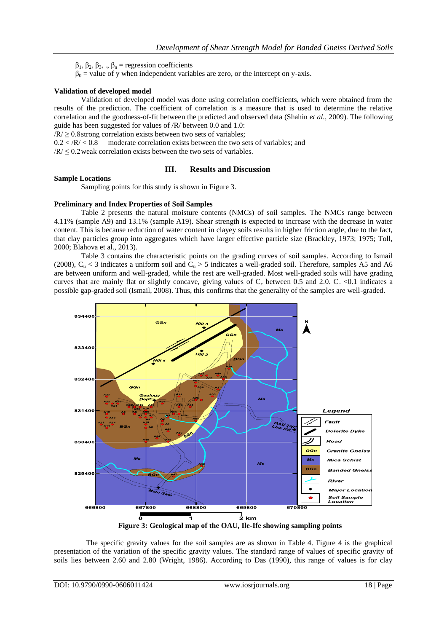$β<sub>1</sub>, β<sub>2</sub>, β<sub>3</sub>, ., β<sub>n</sub> = regression coefficients$ 

 $\beta_0$  = value of y when independent variables are zero, or the intercept on y-axis.

# **Validation of developed model**

Validation of developed model was done using correlation coefficients, which were obtained from the results of the prediction. The coefficient of correlation is a measure that is used to determine the relative correlation and the goodness-of-fit between the predicted and observed data (Shahin *et al.*, 2009). The following guide has been suggested for values of /R/ between 0.0 and 1.0:

 $/R \ge 0.8$  strong correlation exists between two sets of variables;

 $0.2 < /R / < 0.8$  moderate correlation exists between the two sets of variables; and

 $/R \leq 0.2$  weak correlation exists between the two sets of variables.

# **III. Results and Discussion**

# **Sample Locations**

Sampling points for this study is shown in Figure 3.

# **Preliminary and Index Properties of Soil Samples**

Table 2 presents the natural moisture contents (NMCs) of soil samples. The NMCs range between 4.11% (sample A9) and 13.1% (sample A19). Shear strength is expected to increase with the decrease in water content. This is because reduction of water content in clayey soils results in higher friction angle, due to the fact, that clay particles group into aggregates which have larger effective particle size (Brackley, 1973; 1975; Toll, 2000; Blahova et al., 2013).

Table 3 contains the characteristic points on the grading curves of soil samples. According to Ismail (2008),  $C_u$  < 3 indicates a uniform soil and  $C_u$  > 5 indicates a well-graded soil. Therefore, samples A5 and A6 are between uniform and well-graded, while the rest are well-graded. Most well-graded soils will have grading curves that are mainly flat or slightly concave, giving values of  $C_c$  between 0.5 and 2.0.  $C_c \lt 0.1$  indicates a possible gap-graded soil (Ismail, 2008). Thus, this confirms that the generality of the samples are well-graded.



The specific gravity values for the soil samples are as shown in Table 4. Figure 4 is the graphical presentation of the variation of the specific gravity values. The standard range of values of specific gravity of soils lies between 2.60 and 2.80 (Wright, 1986). According to Das (1990), this range of values is for clay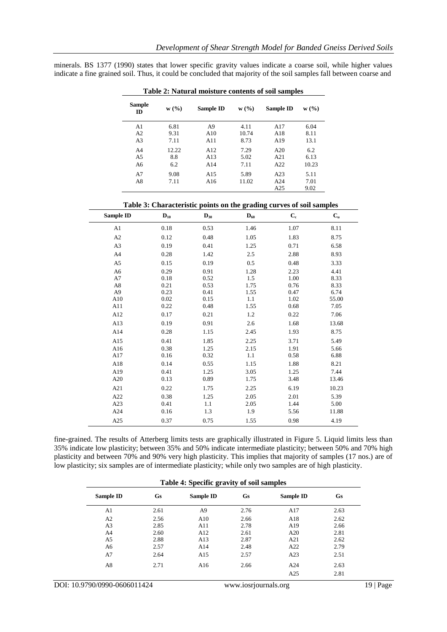minerals. BS 1377 (1990) states that lower specific gravity values indicate a coarse soil, while higher values indicate a fine grained soil. Thus, it could be concluded that majority of the soil samples fall between coarse and

| <b>Sample</b><br>ID | W(%)  | Sample ID       | W(%)  | Sample ID | W(%)  |
|---------------------|-------|-----------------|-------|-----------|-------|
| A <sub>1</sub>      | 6.81  | A9              | 4.11  | A17       | 6.04  |
| A2                  | 9.31  | A10             | 10.74 | A18       | 8.11  |
| A <sub>3</sub>      | 7.11  | A11             | 8.73  | A19       | 13.1  |
| A <sub>4</sub>      | 12.22 | A12             | 7.29  | A20       | 6.2   |
| A <sub>5</sub>      | 8.8   | A13             | 5.02  | A21       | 6.13  |
| A <sub>6</sub>      | 6.2   | A14             | 7.11  | A22       | 10.23 |
| A7                  | 9.08  | A15             | 5.89  | A23       | 5.11  |
| A8                  | 7.11  | A <sub>16</sub> | 11.02 | A24       | 7.01  |
|                     |       |                 |       | A25       | 9.02  |

**Table 2: Natural moisture contents of soil samples**

| <b>Sample ID</b>     | $D_{10}$     | $\mathbf{D}_{30}$ | $\mathbf{D}_{60}$ | $\mathbf{C}_{\rm c}$ | $\mathbf{C}_\mathbf{u}$ |
|----------------------|--------------|-------------------|-------------------|----------------------|-------------------------|
| A1                   | 0.18         | 0.53              | 1.46              | 1.07                 | 8.11                    |
| A2                   | 0.12         | 0.48              | 1.05              | 1.83                 | 8.75                    |
| A <sub>3</sub>       | 0.19         | 0.41              | 1.25              | 0.71                 | 6.58                    |
| A4                   | 0.28         | 1.42              | 2.5               | 2.88                 | 8.93                    |
| A <sub>5</sub>       | 0.15         | 0.19              | 0.5               | 0.48                 | 3.33                    |
| A <sub>6</sub><br>A7 | 0.29<br>0.18 | 0.91<br>0.52      | 1.28<br>1.5       | 2.23<br>1.00         | 4.41<br>8.33            |
| A8<br>A <sub>9</sub> | 0.21<br>0.23 | 0.53<br>0.41      | 1.75<br>1.55      | 0.76<br>0.47         | 8.33<br>6.74            |
| A10<br>A11           | 0.02<br>0.22 | 0.15<br>0.48      | 1.1<br>1.55       | 1.02<br>0.68         | 55.00<br>7.05           |
| A12                  | 0.17         | 0.21              | 1.2               | 0.22                 | 7.06                    |
| A13                  | 0.19         | 0.91              | 2.6               | 1.68                 | 13.68                   |
| A14                  | 0.28         | 1.15              | 2.45              | 1.93                 | 8.75                    |
| A15                  | 0.41         | 1.85              | 2.25              | 3.71                 | 5.49                    |
| A16                  | 0.38         | 1.25              | 2.15              | 1.91                 | 5.66                    |
| A17                  | 0.16         | 0.32              | 1.1               | 0.58                 | 6.88                    |
| A18                  | 0.14         | 0.55              | 1.15              | 1.88                 | 8.21                    |
| A19                  | 0.41         | 1.25              | 3.05              | 1.25                 | 7.44                    |
| A20                  | 0.13         | 0.89              | 1.75              | 3.48                 | 13.46                   |
| A21                  | 0.22         | 1.75              | 2.25              | 6.19                 | 10.23                   |
| A22                  | 0.38         | 1.25              | 2.05              | 2.01                 | 5.39                    |
| A23                  | 0.41         | 1.1               | 2.05              | 1.44                 | 5.00                    |
| A24                  | 0.16         | 1.3               | 1.9               | 5.56                 | 11.88                   |
| A25                  | 0.37         | 0.75              | 1.55              | 0.98                 | 4.19                    |

fine-grained. The results of Atterberg limits tests are graphically illustrated in Figure 5. Liquid limits less than 35% indicate low plasticity; between 35% and 50% indicate intermediate plasticity; between 50% and 70% high plasticity and between 70% and 90% very high plasticity. This implies that majority of samples (17 nos.) are of low plasticity; six samples are of intermediate plasticity; while only two samples are of high plasticity.

| Table 4: Specific gravity of soil samples |      |           |           |           |           |
|-------------------------------------------|------|-----------|-----------|-----------|-----------|
| Sample ID                                 | Gs   | Sample ID | <b>Gs</b> | Sample ID | <b>Gs</b> |
| A1                                        | 2.61 | A9        | 2.76      | A17       | 2.63      |
| A2                                        | 2.56 | A10       | 2.66      | A18       | 2.62      |
| A <sub>3</sub>                            | 2.85 | A11       | 2.78      | A19       | 2.66      |
| A <sub>4</sub>                            | 2.60 | A12       | 2.61      | A20       | 2.81      |
| A5                                        | 2.88 | A13       | 2.87      | A21       | 2.62      |
| A6                                        | 2.57 | A14       | 2.48      | A22       | 2.79      |
| A7                                        | 2.64 | A15       | 2.57      | A23       | 2.51      |
| A8                                        | 2.71 | A16       | 2.66      | A24       | 2.63      |
|                                           |      |           |           | A25       | 2.81      |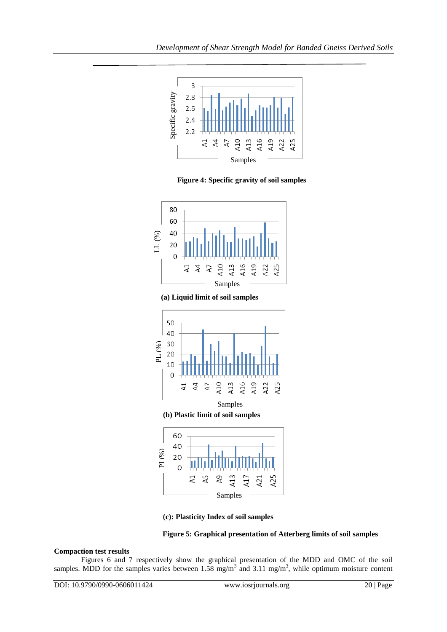

 **Figure 4: Specific gravity of soil samples** 



 **(a) Liquid limit of soil samples**



 **(b) Plastic limit of soil samples**







# **Compaction test results**

Figures 6 and 7 respectively show the graphical presentation of the MDD and OMC of the soil samples. MDD for the samples varies between  $1.58 \text{ mg/m}^3$  and  $3.11 \text{ mg/m}^3$ , while optimum moisture content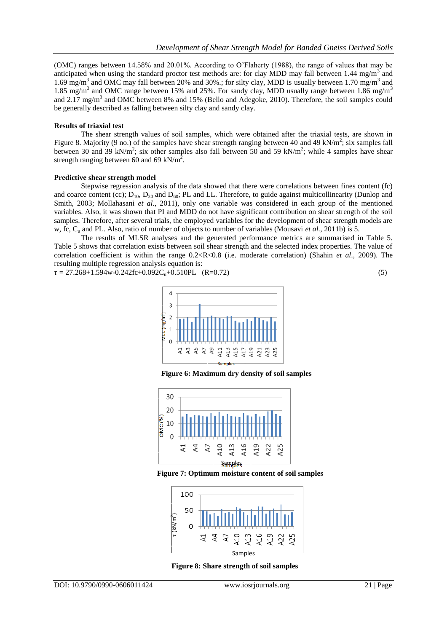(OMC) ranges between 14.58% and 20.01%. According to O'Flaherty (1988), the range of values that may be anticipated when using the standard proctor test methods are: for clay MDD may fall between 1.44 mg/m<sup>3</sup> and 1.69 mg/m<sup>3</sup> and OMC may fall between 20% and 30%:; for silty clay, MDD is usually between 1.70 mg/m<sup>3</sup> and 1.85 mg/m<sup>3</sup> and OMC range between 15% and 25%. For sandy clay, MDD usually range between 1.86 mg/m<sup>3</sup> and 2.17 mg/m<sup>3</sup> and OMC between 8% and 15% (Bello and Adegoke, 2010). Therefore, the soil samples could be generally described as falling between silty clay and sandy clay.

# **Results of triaxial test**

The shear strength values of soil samples, which were obtained after the triaxial tests, are shown in Figure 8. Majority (9 no.) of the samples have shear strength ranging between 40 and 49 kN/m<sup>2</sup>; six samples fall between 30 and 39 kN/m<sup>2</sup>; six other samples also fall between 50 and 59 kN/m<sup>2</sup>; while 4 samples have shear strength ranging between 60 and 69 kN/m<sup>2</sup>.

# **Predictive shear strength model**

Stepwise regression analysis of the data showed that there were correlations between fines content (fc) and coarce content (cc);  $D_{10}$ ,  $D_{30}$  and  $D_{60}$ ; PL and LL. Therefore, to guide against multicollinearity (Dunlop and Smith, 2003; Mollahasani *et al.*, 2011), only one variable was considered in each group of the mentioned variables. Also, it was shown that PI and MDD do not have significant contribution on shear strength of the soil samples. Therefore, after several trials, the employed variables for the development of shear strength models are w, fc, C<sup>u</sup> and PL. Also, ratio of number of objects to number of variables (Mousavi *et al.*, 2011b) is 5.

The results of MLSR analyses and the generated performance metrics are summarised in Table 5. Table 5 shows that correlation exists between soil shear strength and the selected index properties. The value of correlation coefficient is within the range 0.2<R<0.8 (i.e. moderate correlation) (Shahin *et al*., 2009). The resulting multiple regression analysis equation is:

 $\tau = 27.268 + 1.594w - 0.242fc + 0.092C_u + 0.510PL$  (R=0.72) (5)

 $\overline{4}$  $\mathbf{3}$ MDD (mg/m<sup>3</sup>)  $\overline{2}$  $\overline{1}$  $\circ$ 42 S R7 Α9 A13  $A11$ A15  $A17$ A19  $\overline{2}$ ž

 **Figure 6: Maximum dry density of soil samples**



 **Figure 7: Optimum moisture content of soil samples**



 **Figure 8: Share strength of soil samples**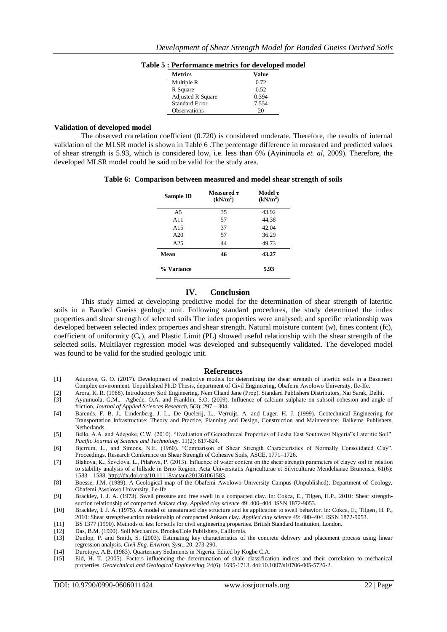| <b>Metrics</b>           | Value |
|--------------------------|-------|
| Multiple R               | 0.72  |
| R Square                 | 0.52  |
| <b>Adjusted R Square</b> | 0.394 |
| <b>Standard Error</b>    | 7.554 |
| <b>Observations</b>      | 20    |

#### **Table 5 : Performance metrics for developed model**

# **Validation of developed model**

The observed correlation coefficient (0.720) is considered moderate. Therefore, the results of internal validation of the MLSR model is shown in Table 6 .The percentage difference in measured and predicted values of shear strength is 5.93, which is considered low, i.e. less than 6% (Ayininuola *et. al*, 2009). Therefore, the developed MLSR model could be said to be valid for the study area.

|  | Table 6: Comparison between measured and model shear strength of soils |  |  |  |  |  |  |  |
|--|------------------------------------------------------------------------|--|--|--|--|--|--|--|
|--|------------------------------------------------------------------------|--|--|--|--|--|--|--|

| Sample ID      | Measured $\tau$<br>(kN/m <sup>2</sup> ) | Model $\tau$<br>(kN/m <sup>2</sup> ) |
|----------------|-----------------------------------------|--------------------------------------|
| A <sub>5</sub> | 35                                      | 43.92                                |
| A11            | 57                                      | 44.38                                |
| A15            | 37                                      | 42.04                                |
| A20            | 57                                      | 36.29                                |
| A25            | 44                                      | 49.73                                |
| Mean           | 46                                      | 43.27                                |
| % Variance     |                                         | 5.93                                 |

#### **IV. Conclusion**

This study aimed at developing predictive model for the determination of shear strength of lateritic soils in a Banded Gneiss geologic unit. Following standard procedures, the study determined the index properties and shear strength of selected soils The index properties were analysed; and specific relationship was developed between selected index properties and shear strength. Natural moisture content (w), fines content (fc), coefficient of uniformity  $(C_u)$ , and Plastic Limit (PL) showed useful relationship with the shear strength of the selected soils. Multilayer regression model was developed and subsequently validated. The developed model was found to be valid for the studied geologic unit.

#### **References**

- [1] Adunoye, G. O. (2017). Development of predictive models for determining the shear strength of lateritic soils in a Basement Complex environment. Unpublished Ph.D Thesis, department of Civil Engineering, Obafemi Awolowo University, Ile-Ife.
- [2] Arora, K. R. (1988). Introductory Soil Engineering. Nem Chand Jane (Prop), Standard Publishers Distributors, Nai Sarak, Delhi. [3] Ayininuola, G.M., Agbede, O.A. and Franklin, S.O. (2009). Influence of calcium sulphate on subsoil cohesion and angle of
- friction, *Journal of Applied Sciences Research,* 5(3): 297 304.
- [4] Barends, F. B. J., Lindenberg, J. L., De Quelerij, L., Verruijt, A. and Luger, H. J. (1999). Geotechnical Engineering for Transportation Infrastructure: Theory and Practice, Planning and Design, Construction and Maintenance; Balkema Publishers, Netherlands.
- [5] Bello, A.A. and Adegoke, C.W. (2010). "Evaluation of Geotechnical Properties of Ilesha East Southwest Nigeria"s Lateritic Soil". *Pacific Journal of Science and Technology*. 11(2): 617-624.
- [6] Bjerrum, L., and Simons, N.E. (1960). "Comparison of Shear Strength Characteristics of Normally Consolidated Clay". Proceedings. Research Conference on Shear Strength of Cohesive Soils, ASCE, 1771–1726.
- [7] Blahova, K., Ševelova, L., Pilařova, P. (2013). Influence of water content on the shear strength parameters of clayey soil in relation to stability analysis of a hillside in Brno Region, Acta Universitatis Agriculturae et Silviculturae Mendelianae Brunensis, 61(6): 1583 – 1588[. http://dx.doi.org/10.11118/actaun201361061583.](http://dx.doi.org/10.11118/actaun201361061583)
- [8] Boesse, J.M. (1989). A Geological map of the Obafemi Awolowo University Campus (Unpublished), Department of Geology, Obafemi Awolowo University, Ile-Ife.
- [9] Brackley, I. J. A. (1973). Swell pressure and free swell in a compacted clay. In: Cokca, E., Tilgen, H.P., 2010*:* Shear strengthsuction relationship of compacted Ankara clay. *Applied clay science* 49: 400–404. ISSN 1872-9053.
- [10] Brackley, I. J. A. (1975). A model of unsaturated clay structure and its application to swell behavior. In: Cokca, E., Tilgen, H. P., 2010: Shear strength-suction relationship of compacted Ankara clay. *Applied clay science* 49: 400–404. ISSN 1872-9053.
- 
- [11] BS 1377 (1990). Methods of test for soils for civil engineering properties. British Standard Institution, London.<br>[12] Das, B.M. (1990). Soil Mechanics. Brooks/Cole Publishers, California.
- [12] Das, B.M. (1990). Soil Mechanics. Brooks/Cole Publishers, California. [13] Dunlop, P. and Smith, S. (2003). Estimating key characteristics of the concrete delivery and placement process using linear regression analysis. *Civil Eng. Environ. Syst.*, 20: 273-290.
- [14] Durotoye, A.B. (1983). Quarternary Sediments in Nigeria. Edited by Kogbe C.A.
- [15] Eid, H. T. (2005). Factors influencing the determination of shale classification indices and their correlation to mechanical properties. *Geotechnical and Geological Engineering*, 24(6): 1695-1713. doi:10.1007/s10706-005-5726-2.